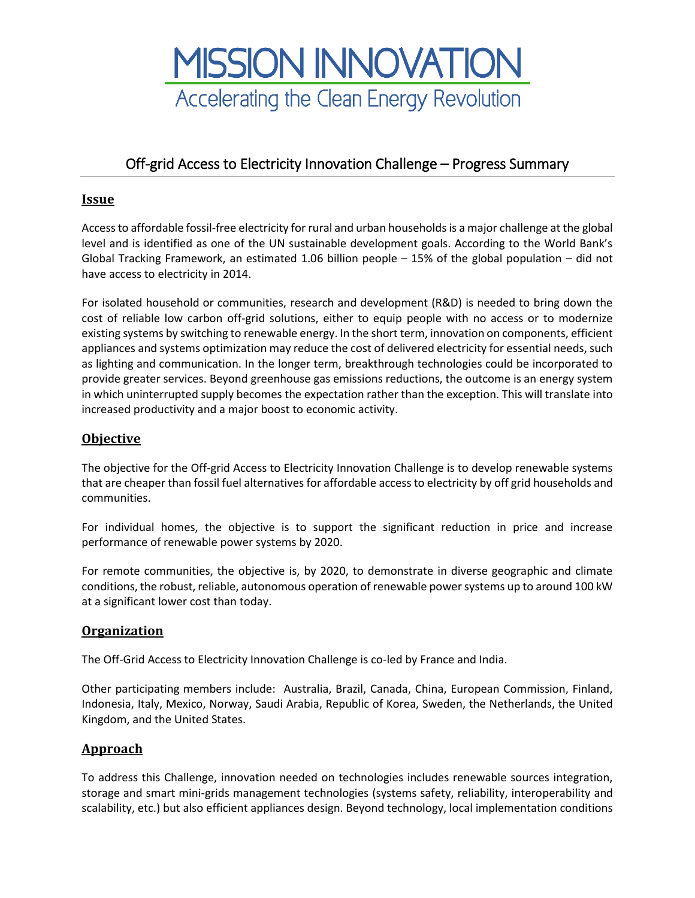

# Off-grid Access to Electricity Innovation Challenge – Progress Summary

### **Issue**

Access to affordable fossil-free electricity for rural and urban households is a major challenge at the global level and is identified as one of the UN sustainable development goals. According to the World Bank's Global Tracking Framework, an estimated 1.06 billion people – 15% of the global population – did not have access to electricity in 2014.

For isolated household or communities, research and development (R&D) is needed to bring down the cost of reliable low carbon off-grid solutions, either to equip people with no access or to modernize existing systems by switching to renewable energy. In the short term, innovation on components, efficient appliances and systems optimization may reduce the cost of delivered electricity for essential needs, such as lighting and communication. In the longer term, breakthrough technologies could be incorporated to provide greater services. Beyond greenhouse gas emissions reductions, the outcome is an energy system in which uninterrupted supply becomes the expectation rather than the exception. This will translate into increased productivity and a major boost to economic activity.

## **Objective**

The objective for the Off-grid Access to Electricity Innovation Challenge is to develop renewable systems that are cheaper than fossil fuel alternatives for affordable access to electricity by off grid households and communities.

For individual homes, the objective is to support the significant reduction in price and increase performance of renewable power systems by 2020.

For remote communities, the objective is, by 2020, to demonstrate in diverse geographic and climate conditions, the robust, reliable, autonomous operation of renewable power systems up to around 100 kW at a significant lower cost than today.

#### **Organization**

The Off-Grid Access to Electricity Innovation Challenge is co-led by France and India.

Other participating members include: Australia, Brazil, Canada, China, European Commission, Finland, Indonesia, Italy, Mexico, Norway, Saudi Arabia, Republic of Korea, Sweden, the Netherlands, the United Kingdom, and the United States.

#### **Approach**

To address this Challenge, innovation needed on technologies includes renewable sources integration, storage and smart mini-grids management technologies (systems safety, reliability, interoperability and scalability, etc.) but also efficient appliances design. Beyond technology, local implementation conditions